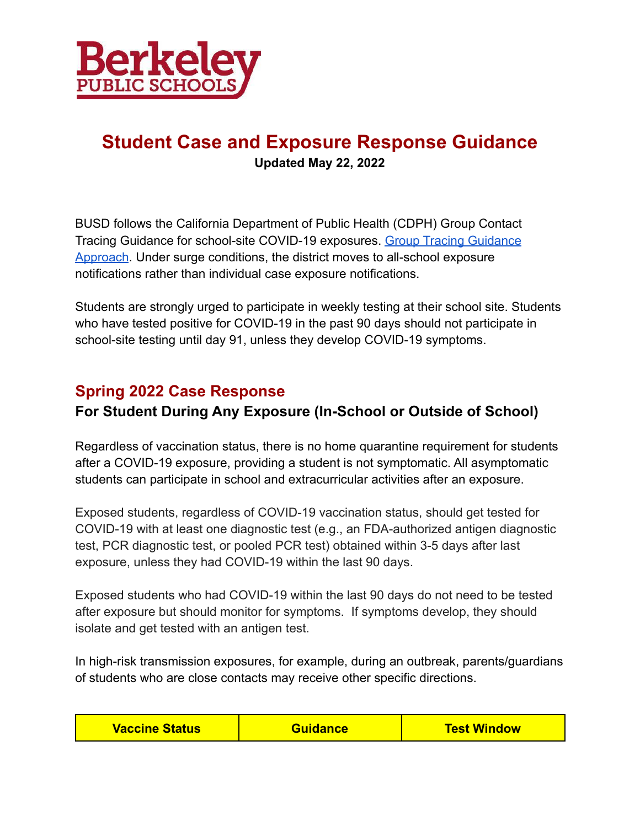

## **Student Case and Exposure Response Guidance Updated May 22, 2022**

BUSD follows the California Department of Public Health (CDPH) Group Contact Tracing Guidance for school-site COVID-19 exposures. [Group Tracing Guidance](https://www.cdph.ca.gov/Programs/CID/DCDC/Pages/COVID-19/Group-Tracing-Approach-to-Students-Exposed-to-COVID-19.aspx) [Approach](https://www.cdph.ca.gov/Programs/CID/DCDC/Pages/COVID-19/Group-Tracing-Approach-to-Students-Exposed-to-COVID-19.aspx). Under surge conditions, the district moves to all-school exposure notifications rather than individual case exposure notifications.

Students are strongly urged to participate in weekly testing at their school site. Students who have tested positive for COVID-19 in the past 90 days should not participate in school-site testing until day 91, unless they develop COVID-19 symptoms.

## **Spring 2022 Case Response**

#### **For Student During Any Exposure (In-School or Outside of School)**

Regardless of vaccination status, there is no home quarantine requirement for students after a COVID-19 exposure, providing a student is not symptomatic. All asymptomatic students can participate in school and extracurricular activities after an exposure.

Exposed students, regardless of COVID-19 vaccination status, should get tested for COVID-19 with at least one diagnostic test (e.g., an FDA-authorized antigen diagnostic test, PCR diagnostic test, or pooled PCR test) obtained within 3-5 days after last exposure, unless they had COVID-19 within the last 90 days.

Exposed students who had COVID-19 within the last 90 days do not need to be tested after exposure but should monitor for symptoms. If symptoms develop, they should isolate and get tested with an antigen test.

In high-risk transmission exposures, for example, during an outbreak, parents/guardians of students who are close contacts may receive other specific directions.

| <b>Vaccine Status</b> | <b>Guidance</b> | <b>Test Window</b> |
|-----------------------|-----------------|--------------------|
|-----------------------|-----------------|--------------------|